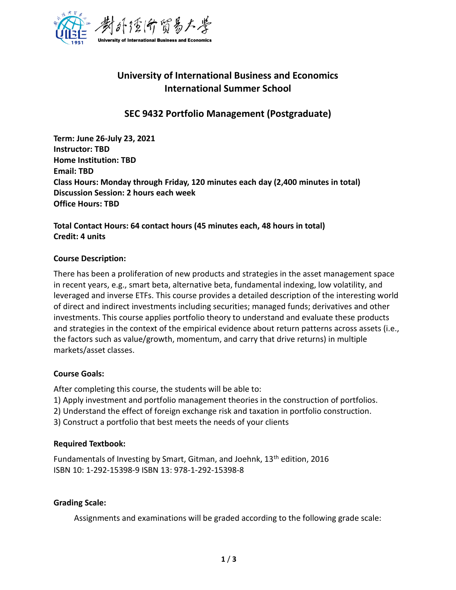

# **University of International Business and Economics International Summer School**

## **SEC 9432 Portfolio Management (Postgraduate)**

**Term: June 26-July 23, 2021 Instructor: TBD Home Institution: TBD Email: TBD Class Hours: Monday through Friday, 120 minutes each day (2,400 minutes in total) Discussion Session: 2 hours each week Office Hours: TBD**

**Total Contact Hours: 64 contact hours (45 minutes each, 48 hours in total) Credit: 4 units**

#### **Course Description:**

There has been a proliferation of new products and strategies in the asset management space in recent years, e.g., smart beta, alternative beta, fundamental indexing, low volatility, and leveraged and inverse ETFs. This course provides a detailed description of the interesting world of direct and indirect investments including securities; managed funds; derivatives and other investments. This course applies portfolio theory to understand and evaluate these products and strategies in the context of the empirical evidence about return patterns across assets (i.e., the factors such as value/growth, momentum, and carry that drive returns) in multiple markets/asset classes.

#### **Course Goals:**

After completing this course, the students will be able to:

1) Apply investment and portfolio management theories in the construction of portfolios.

- 2) Understand the effect of foreign exchange risk and taxation in portfolio construction.
- 3) Construct a portfolio that best meets the needs of your clients

#### **Required Textbook:**

Fundamentals of Investing by Smart, Gitman, and Joehnk,  $13<sup>th</sup>$  edition, 2016 ISBN 10: 1-292-15398-9 ISBN 13: 978-1-292-15398-8

#### **Grading Scale:**

Assignments and examinations will be graded according to the following grade scale: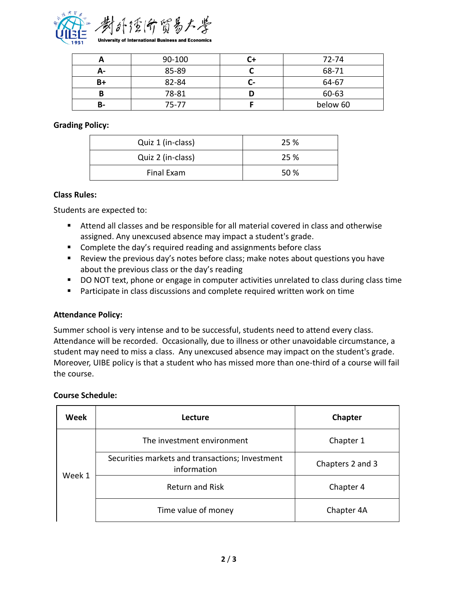

|    | 90-100 | 72-74    |
|----|--------|----------|
| д- | 85-89  | 68-71    |
| B+ | 82-84  | 64-67    |
|    | 78-81  | 60-63    |
| в- | 75-77  | below 60 |

### **Grading Policy:**

| Quiz 1 (in-class) | 25 % |
|-------------------|------|
| Quiz 2 (in-class) | 25 % |
| Final Exam        | 50 % |

#### **Class Rules:**

Students are expected to:

- Attend all classes and be responsible for all material covered in class and otherwise assigned. Any unexcused absence may impact a student's grade.
- Complete the day's required reading and assignments before class
- Review the previous day's notes before class; make notes about questions you have about the previous class or the day's reading
- DO NOT text, phone or engage in computer activities unrelated to class during class time
- Participate in class discussions and complete required written work on time

#### **Attendance Policy:**

Summer school is very intense and to be successful, students need to attend every class. Attendance will be recorded. Occasionally, due to illness or other unavoidable circumstance, a student may need to miss a class. Any unexcused absence may impact on the student's grade. Moreover, UIBE policy is that a student who has missed more than one-third of a course will fail the course.

#### **Course Schedule:**

| Week   | Lecture                                                        | Chapter          |
|--------|----------------------------------------------------------------|------------------|
| Week 1 | The investment environment                                     | Chapter 1        |
|        | Securities markets and transactions; Investment<br>information | Chapters 2 and 3 |
|        | <b>Return and Risk</b>                                         | Chapter 4        |
|        | Time value of money                                            | Chapter 4A       |